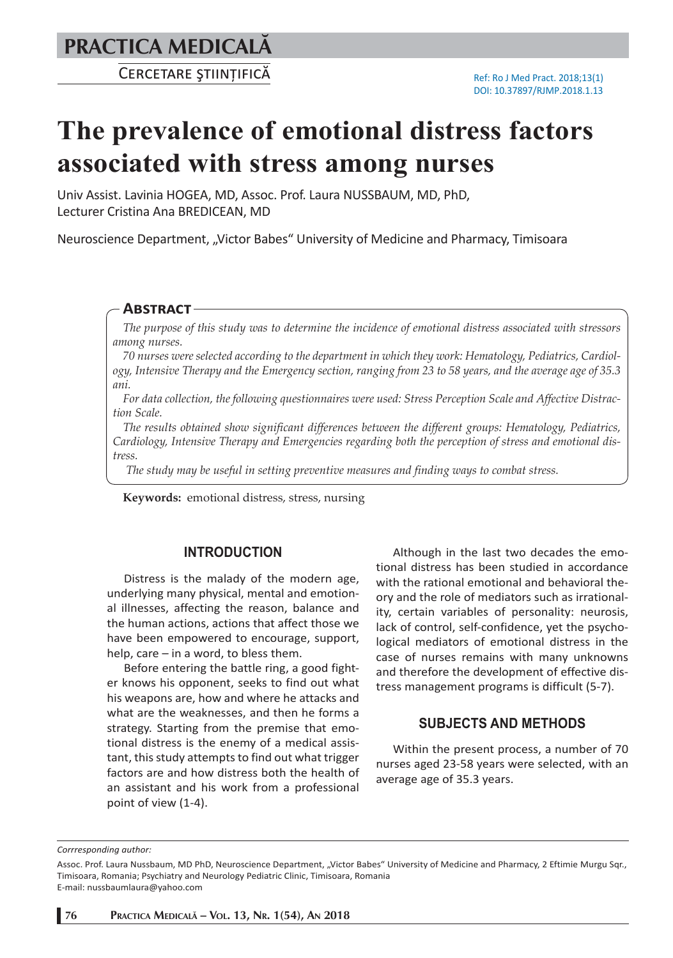**PRACTICA MEDICALÅ**

# **The prevalence of emotional distress factors associated with stress among nurses**

Univ Assist. Lavinia HOGEA, MD, Assoc. Prof. Laura NUSSBAUM, MD, PhD, Lecturer Cristina Ana BREDICEAN, MD

Neuroscience Department, "Victor Babes" University of Medicine and Pharmacy, Timisoara

### **ABSTRACT**

*The purpose of this study was to determine the incidence of emotional distress associated with stressors among nurses.* 

*70 nurses were selected according to the department in which they work: Hematology, Pediatrics, Cardiology, Intensive Therapy and the Emergency section, ranging from 23 to 58 years, and the average age of 35.3 ani.*

*For data collection, the following questionnaires were used: Stress Perception Scale and Affective Distraction Scale.* 

*The results obtained show significant differences between the different groups: Hematology, Pediatrics, Cardiology, Intensive Therapy and Emergencies regarding both the perception of stress and emotional distress.*

 *The study may be useful in setting preventive measures and finding ways to combat stress.*

**Keywords:** emotional distress, stress, nursing

# **INTRODUCTION**

Distress is the malady of the modern age, underlying many physical, mental and emotional illnesses, affecting the reason, balance and the human actions, actions that affect those we have been empowered to encourage, support, help, care – in a word, to bless them.

Before entering the battle ring, a good fighter knows his opponent, seeks to find out what his weapons are, how and where he attacks and what are the weaknesses, and then he forms a strategy. Starting from the premise that emotional distress is the enemy of a medical assistant, this study attempts to find out what trigger factors are and how distress both the health of an assistant and his work from a professional point of view (1-4).

Although in the last two decades the emotional distress has been studied in accordance with the rational emotional and behavioral theory and the role of mediators such as irrationality, certain variables of personality: neurosis, lack of control, self-confidence, yet the psychological mediators of emotional distress in the case of nurses remains with many unknowns and therefore the development of effective distress management programs is difficult (5-7).

## **SUBJECTS AND METHODS**

Within the present process, a number of 70 nurses aged 23-58 years were selected, with an average age of 35.3 years.

*Corrresponding author:* 

Assoc. Prof. Laura Nussbaum, MD PhD, Neuroscience Department, "Victor Babes" University of Medicine and Pharmacy, 2 Eftimie Murgu Sqr., Timisoara, Romania; Psychiatry and Neurology Pediatric Clinic, Timisoara, Romania

E-mail: nussbaumlaura@yahoo.com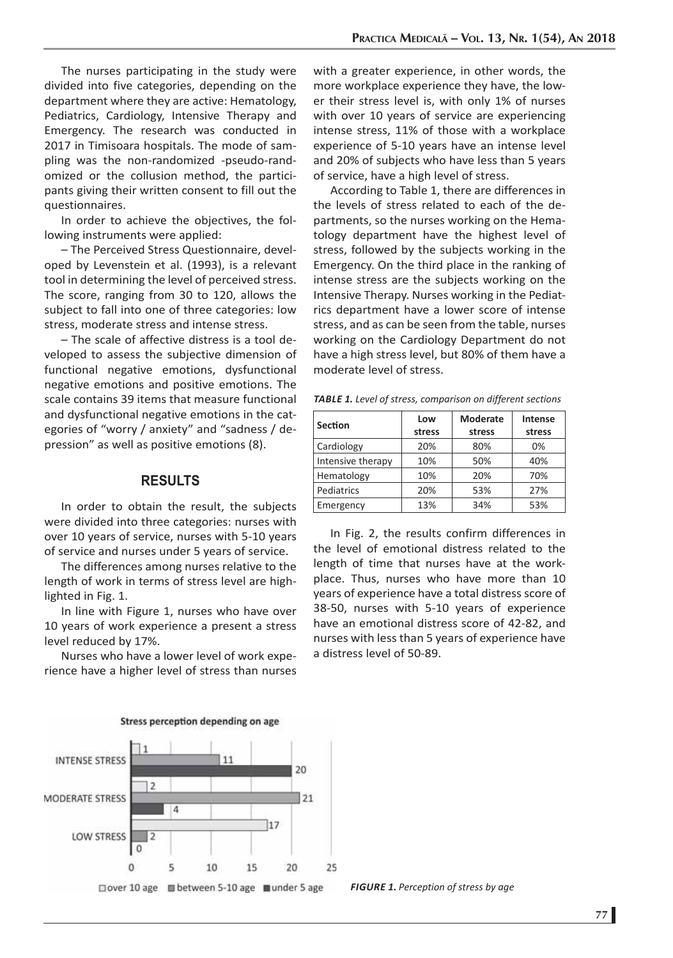The nurses participating in the study were divided into five categories, depending on the department where they are active: Hematology, Pediatrics, Cardiology, Intensive Therapy and Emergency. The research was conducted in 2017 in Timisoara hospitals. The mode of sampling was the non-randomized -pseudo-randomized or the collusion method, the participants giving their written consent to fill out the questionnaires.

In order to achieve the objectives, the following instruments were applied:

– The Perceived Stress Questionnaire, developed by Levenstein et al. (1993), is a relevant tool in determining the level of perceived stress. The score, ranging from 30 to 120, allows the subject to fall into one of three categories: low stress, moderate stress and intense stress.

– The scale of affective distress is a tool developed to assess the subjective dimension of functional negative emotions, dysfunctional negative emotions and positive emotions. The scale contains 39 items that measure functional and dysfunctional negative emotions in the categories of "worry / anxiety" and "sadness / depression" as well as positive emotions (8).

## **RESULTS**

In order to obtain the result, the subjects were divided into three categories: nurses with over 10 years of service, nurses with 5-10 years of service and nurses under 5 years of service.

The differences among nurses relative to the length of work in terms of stress level are highlighted in Fig. 1.

In line with Figure 1, nurses who have over 10 years of work experience a present a stress level reduced by 17%.

Nurses who have a lower level of work experience have a higher level of stress than nurses



with a greater experience, in other words, the more workplace experience they have, the lower their stress level is, with only 1% of nurses with over 10 years of service are experiencing intense stress, 11% of those with a workplace experience of 5-10 years have an intense level and 20% of subjects who have less than 5 years of service, have a high level of stress.

According to Table 1, there are differences in the levels of stress related to each of the departments, so the nurses working on the Hematology department have the highest level of stress, followed by the subjects working in the Emergency. On the third place in the ranking of intense stress are the subjects working on the Intensive Therapy. Nurses working in the Pediatrics department have a lower score of intense stress, and as can be seen from the table, nurses working on the Cardiology Department do not have a high stress level, but 80% of them have a moderate level of stress.

| <b>Section</b>    | Low<br>stress | Moderate<br>stress | Intense<br>stress |
|-------------------|---------------|--------------------|-------------------|
| Cardiology        | 20%           | 80%                | 0%                |
| Intensive therapy | 10%           | 50%                | 40%               |
| Hematology        | 10%           | 20%                | 70%               |
| Pediatrics        | 20%           | 53%                | 27%               |
| Emergency         | 13%           | 34%                | 53%               |

*TABLE 1. Level of stress, comparison on different sections*

In Fig. 2, the results confirm differences in the level of emotional distress related to the length of time that nurses have at the workplace. Thus, nurses who have more than 10 years of experience have a total distress score of 38-50, nurses with 5-10 years of experience have an emotional distress score of 42-82, and nurses with less than 5 years of experience have a distress level of 50-89.

*FIGURE 1***.** *Perception of stress by age*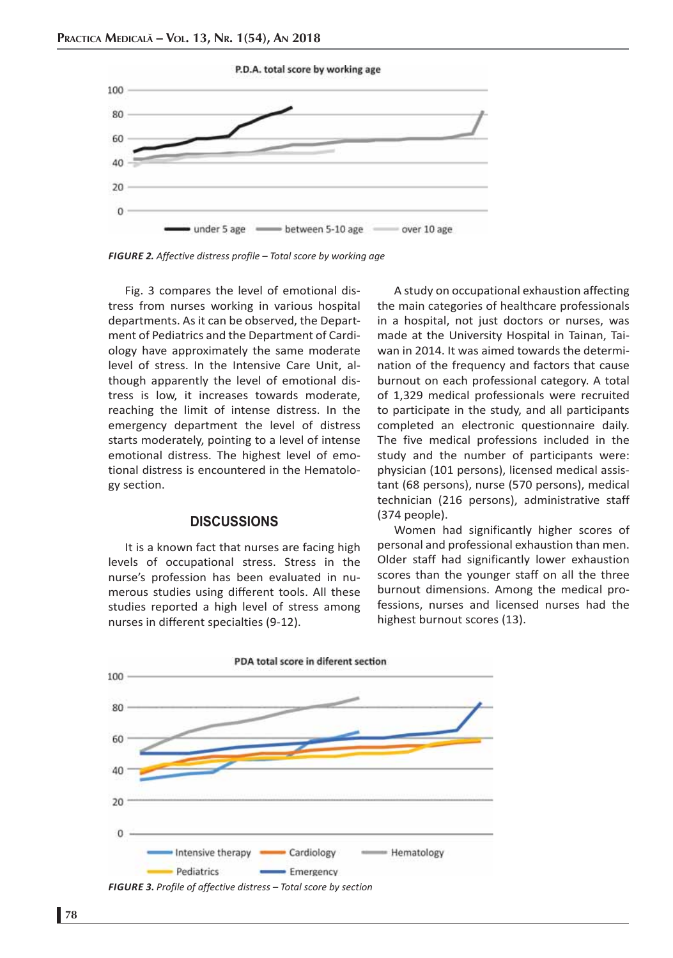

*FIGURE 2. Affective distress profile – Total score by working age*

Fig. 3 compares the level of emotional distress from nurses working in various hospital departments. As it can be observed, the Department of Pediatrics and the Department of Cardiology have approximately the same moderate level of stress. In the Intensive Care Unit, although apparently the level of emotional distress is low, it increases towards moderate, reaching the limit of intense distress. In the emergency department the level of distress starts moderately, pointing to a level of intense emotional distress. The highest level of emotional distress is encountered in the Hematology section.

### **DISCUSSIONS**

It is a known fact that nurses are facing high levels of occupational stress. Stress in the nurse's profession has been evaluated in numerous studies using different tools. All these studies reported a high level of stress among nurses in different specialties (9-12).

A study on occupational exhaustion affecting the main categories of healthcare professionals in a hospital, not just doctors or nurses, was made at the University Hospital in Tainan, Taiwan in 2014. It was aimed towards the determination of the frequency and factors that cause burnout on each professional category. A total of 1,329 medical professionals were recruited to participate in the study, and all participants completed an electronic questionnaire daily. The five medical professions included in the study and the number of participants were: physician (101 persons), licensed medical assistant (68 persons), nurse (570 persons), medical technician (216 persons), administrative staff (374 people).

Women had significantly higher scores of personal and professional exhaustion than men. Older staff had significantly lower exhaustion scores than the younger staff on all the three burnout dimensions. Among the medical professions, nurses and licensed nurses had the highest burnout scores (13).